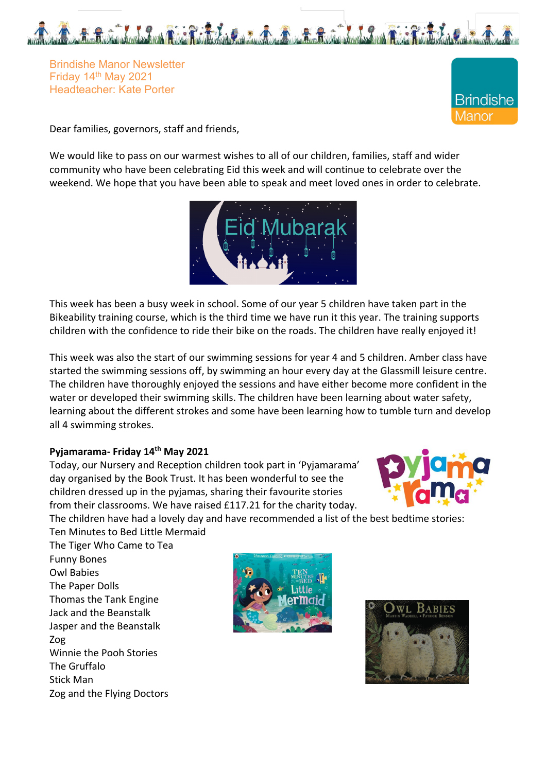

Brindishe Manor Newsletter Friday 14th May 2021 Headteacher: Kate Porter



Dear families, governors, staff and friends,

We would like to pass on our warmest wishes to all of our children, families, staff and wider community who have been celebrating Eid this week and will continue to celebrate over the weekend. We hope that you have been able to speak and meet loved ones in order to celebrate.



This week has been a busy week in school. Some of our year 5 children have taken part in the Bikeability training course, which is the third time we have run it this year. The training supports children with the confidence to ride their bike on the roads. The children have really enjoyed it!

This week was also the start of our swimming sessions for year 4 and 5 children. Amber class have started the swimming sessions off, by swimming an hour every day at the Glassmill leisure centre. The children have thoroughly enjoyed the sessions and have either become more confident in the water or developed their swimming skills. The children have been learning about water safety, learning about the different strokes and some have been learning how to tumble turn and develop all 4 swimming strokes.

# **Pyjamarama- Friday 14th May 2021**

Today, our Nursery and Reception children took part in 'Pyjamarama' day organised by the Book Trust. It has been wonderful to see the children dressed up in the pyjamas, sharing their favourite stories from their classrooms. We have raised £117.21 for the charity today.



The children have had a lovely day and have recommended a list of the best bedtime stories:

Ten Minutes to Bed Little Mermaid The Tiger Who Came to Tea Funny Bones Owl Babies The Paper Dolls Thomas the Tank Engine Jack and the Beanstalk Jasper and the Beanstalk Zog Winnie the Pooh Stories The Gruffalo Stick Man Zog and the Flying Doctors